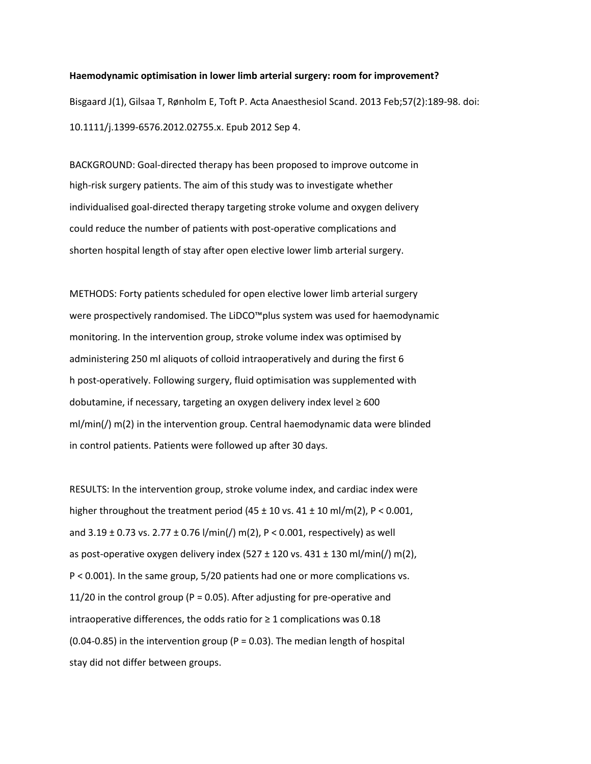**Haemodynamic optimisation in lower limb arterial surgery: room for improvement?** Bisgaard J(1), Gilsaa T, Rønholm E, Toft P. Acta Anaesthesiol Scand. 2013 Feb;57(2):189-98. doi: 10.1111/j.1399-6576.2012.02755.x. Epub 2012 Sep 4.

BACKGROUND: Goal-directed therapy has been proposed to improve outcome in high-risk surgery patients. The aim of this study was to investigate whether individualised goal-directed therapy targeting stroke volume and oxygen delivery could reduce the number of patients with post-operative complications and shorten hospital length of stay after open elective lower limb arterial surgery.

METHODS: Forty patients scheduled for open elective lower limb arterial surgery were prospectively randomised. The LiDCO™plus system was used for haemodynamic monitoring. In the intervention group, stroke volume index was optimised by administering 250 ml aliquots of colloid intraoperatively and during the first 6 h post-operatively. Following surgery, fluid optimisation was supplemented with dobutamine, if necessary, targeting an oxygen delivery index level ≥ 600 ml/min(/) m(2) in the intervention group. Central haemodynamic data were blinded in control patients. Patients were followed up after 30 days.

RESULTS: In the intervention group, stroke volume index, and cardiac index were higher throughout the treatment period  $(45 \pm 10 \text{ vs. } 41 \pm 10 \text{ ml/m}(2), P < 0.001,$ and  $3.19 \pm 0.73$  vs.  $2.77 \pm 0.76$  l/min(/) m(2), P < 0.001, respectively) as well as post-operative oxygen delivery index  $(527 \pm 120 \text{ vs. } 431 \pm 130 \text{ mJ/min}]/\text{ m}(2)$ , P < 0.001). In the same group, 5/20 patients had one or more complications vs. 11/20 in the control group ( $P = 0.05$ ). After adjusting for pre-operative and intraoperative differences, the odds ratio for  $\geq 1$  complications was 0.18 (0.04-0.85) in the intervention group (P = 0.03). The median length of hospital stay did not differ between groups.